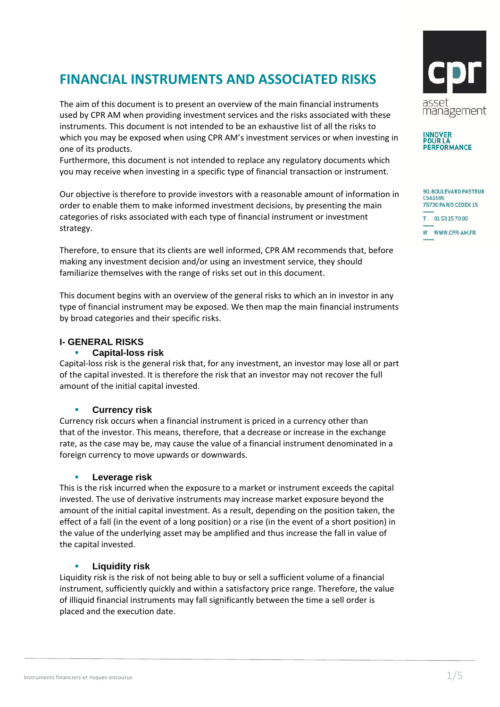# **FINANCIAL INSTRUMENTS AND ASSOCIATED RISKS**

The aim of this document is to present an overview of the main financial instruments used by CPR AM when providing investment services and the risks associated with these instruments. This document is not intended to be an exhaustive list of all the risks to which you may be exposed when using CPR AM's investment services or when investing in one of its products.

Furthermore, this document is not intended to replace any regulatory documents which you may receive when investing in a specific type of financial transaction or instrument.

Our objective is therefore to provide investors with a reasonable amount of information in order to enable them to make informed investment decisions, by presenting the main categories of risks associated with each type of financial instrument or investment strategy.

Therefore, to ensure that its clients are well informed, CPR AM recommends that, before making any investment decision and/or using an investment service, they should familiarize themselves with the range of risks set out in this document.

This document begins with an overview of the general risks to which an in investor in any type of financial instrument may be exposed. We then map the main financial instruments by broad categories and their specific risks.

# **I- GENERAL RISKS**

## **Capital-loss risk**

Capital-loss risk is the general risk that, for any investment, an investor may lose all or part of the capital invested. It is therefore the risk that an investor may not recover the full amount of the initial capital invested.

#### **Currency risk**

Currency risk occurs when a financial instrument is priced in a currency other than that of the investor. This means, therefore, that a decrease or increase in the exchange rate, as the case may be, may cause the value of a financial instrument denominated in a foreign currency to move upwards or downwards.

#### **Leverage risk**

This is the risk incurred when the exposure to a market or instrument exceeds the capital invested. The use of derivative instruments may increase market exposure beyond the amount of the initial capital investment. As a result, depending on the position taken, the effect of a fall (in the event of a long position) or a rise (in the event of a short position) in the value of the underlying asset may be amplified and thus increase the fall in value of the capital invested.

#### **Liquidity risk**

Liquidity risk is the risk of not being able to buy or sell a sufficient volume of a financial instrument, sufficiently quickly and within a satisfactory price range. Therefore, the value of illiquid financial instruments may fall significantly between the time a sell order is placed and the execution date.





| <b>90. BOULEVARD PASTEUR</b><br>CS61595<br>75730 PARIS CEDEX 15 |                 |
|-----------------------------------------------------------------|-----------------|
|                                                                 | T 0153157000    |
|                                                                 | W WWW.CPR-AM.FR |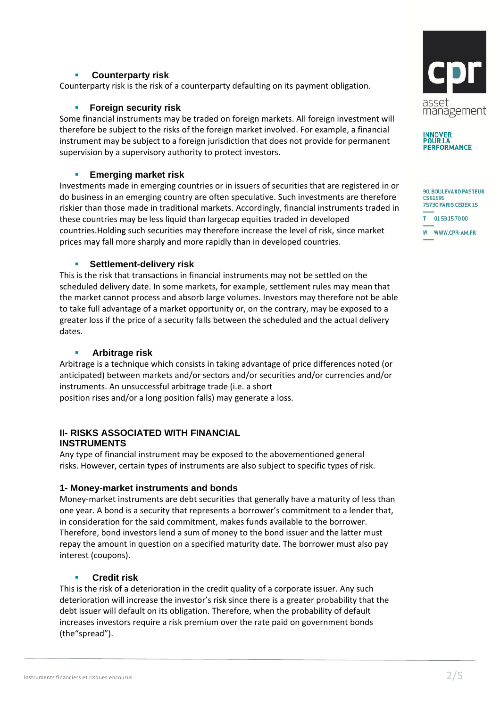# **Counterparty risk**

Counterparty risk is the risk of a counterparty defaulting on its payment obligation.

# **Foreign security risk**

Some financial instruments may be traded on foreign markets. All foreign investment will therefore be subject to the risks of the foreign market involved. For example, a financial instrument may be subject to a foreign jurisdiction that does not provide for permanent supervision by a supervisory authority to protect investors.

# **Emerging market risk**

Investments made in emerging countries or in issuers of securities that are registered in or do business in an emerging country are often speculative. Such investments are therefore riskier than those made in traditional markets. Accordingly, financial instruments traded in these countries may be less liquid than largecap equities traded in developed countries.Holding such securities may therefore increase the level of risk, since market prices may fall more sharply and more rapidly than in developed countries.

## **Settlement-delivery risk**

This is the risk that transactions in financial instruments may not be settled on the scheduled delivery date. In some markets, for example, settlement rules may mean that the market cannot process and absorb large volumes. Investors may therefore not be able to take full advantage of a market opportunity or, on the contrary, may be exposed to a greater loss if the price of a security falls between the scheduled and the actual delivery dates.

#### **Arbitrage risk**

Arbitrage is a technique which consists in taking advantage of price differences noted (or anticipated) between markets and/or sectors and/or securities and/or currencies and/or instruments. An unsuccessful arbitrage trade (i.e. a short position rises and/or a long position falls) may generate a loss.

# **II- RISKS ASSOCIATED WITH FINANCIAL INSTRUMENTS**

Any type of financial instrument may be exposed to the abovementioned general risks. However, certain types of instruments are also subject to specific types of risk.

# **1- Money-market instruments and bonds**

Money-market instruments are debt securities that generally have a maturity of less than one year. A bond is a security that represents a borrower's commitment to a lender that, in consideration for the said commitment, makes funds available to the borrower. Therefore, bond investors lend a sum of money to the bond issuer and the latter must repay the amount in question on a specified maturity date. The borrower must also pay interest (coupons).

# **Credit risk**

This is the risk of a deterioration in the credit quality of a corporate issuer. Any such deterioration will increase the investor's risk since there is a greater probability that the debt issuer will default on its obligation. Therefore, when the probability of default increases investors require a risk premium over the rate paid on government bonds (the"spread").





| <b>90. BOULEVARD PASTEUR</b><br>CS61595<br>75730 PARIS CEDEX 15 |               |  |
|-----------------------------------------------------------------|---------------|--|
|                                                                 | T 0153157000  |  |
| W                                                               | WWW.CPR-AM.FR |  |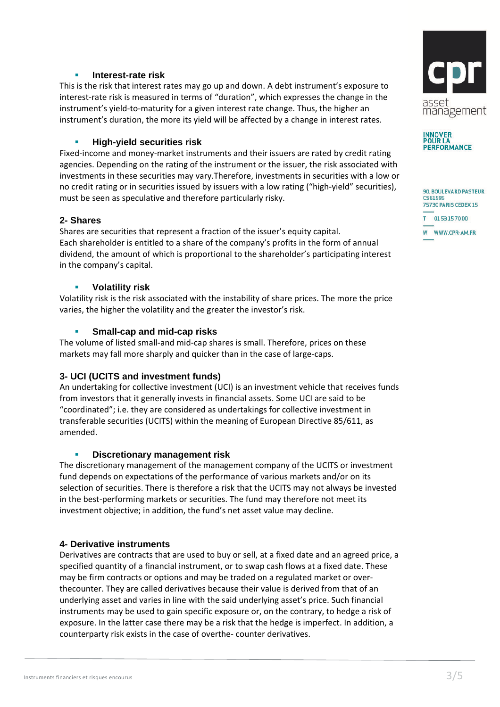## **Interest-rate risk**

This is the risk that interest rates may go up and down. A debt instrument's exposure to interest-rate risk is measured in terms of "duration", which expresses the change in the instrument's yield-to-maturity for a given interest rate change. Thus, the higher an instrument's duration, the more its yield will be affected by a change in interest rates.

# **High-yield securities risk**

Fixed-income and money-market instruments and their issuers are rated by credit rating agencies. Depending on the rating of the instrument or the issuer, the risk associated with investments in these securities may vary.Therefore, investments in securities with a low or no credit rating or in securities issued by issuers with a low rating ("high-yield" securities), must be seen as speculative and therefore particularly risky.

## **2- Shares**

Shares are securities that represent a fraction of the issuer's equity capital. Each shareholder is entitled to a share of the company's profits in the form of annual dividend, the amount of which is proportional to the shareholder's participating interest in the company's capital.

## **Volatility risk**

Volatility risk is the risk associated with the instability of share prices. The more the price varies, the higher the volatility and the greater the investor's risk.

# **Small-cap and mid-cap risks**

The volume of listed small-and mid-cap shares is small. Therefore, prices on these markets may fall more sharply and quicker than in the case of large-caps.

# **3- UCI (UCITS and investment funds)**

An undertaking for collective investment (UCI) is an investment vehicle that receives funds from investors that it generally invests in financial assets. Some UCI are said to be "coordinated"; i.e. they are considered as undertakings for collective investment in transferable securities (UCITS) within the meaning of European Directive 85/611, as amended.

#### **Discretionary management risk**

The discretionary management of the management company of the UCITS or investment fund depends on expectations of the performance of various markets and/or on its selection of securities. There is therefore a risk that the UCITS may not always be invested in the best-performing markets or securities. The fund may therefore not meet its investment objective; in addition, the fund's net asset value may decline.

#### **4- Derivative instruments**

Derivatives are contracts that are used to buy or sell, at a fixed date and an agreed price, a specified quantity of a financial instrument, or to swap cash flows at a fixed date. These may be firm contracts or options and may be traded on a regulated market or overthecounter. They are called derivatives because their value is derived from that of an underlying asset and varies in line with the said underlying asset's price. Such financial instruments may be used to gain specific exposure or, on the contrary, to hedge a risk of exposure. In the latter case there may be a risk that the hedge is imperfect. In addition, a counterparty risk exists in the case of overthe- counter derivatives.





90, BOULEVARD PASTEUR CS61595 75730 PARIS CEDEX 15 T 0153157000 W WWW.CPR-AM.FR